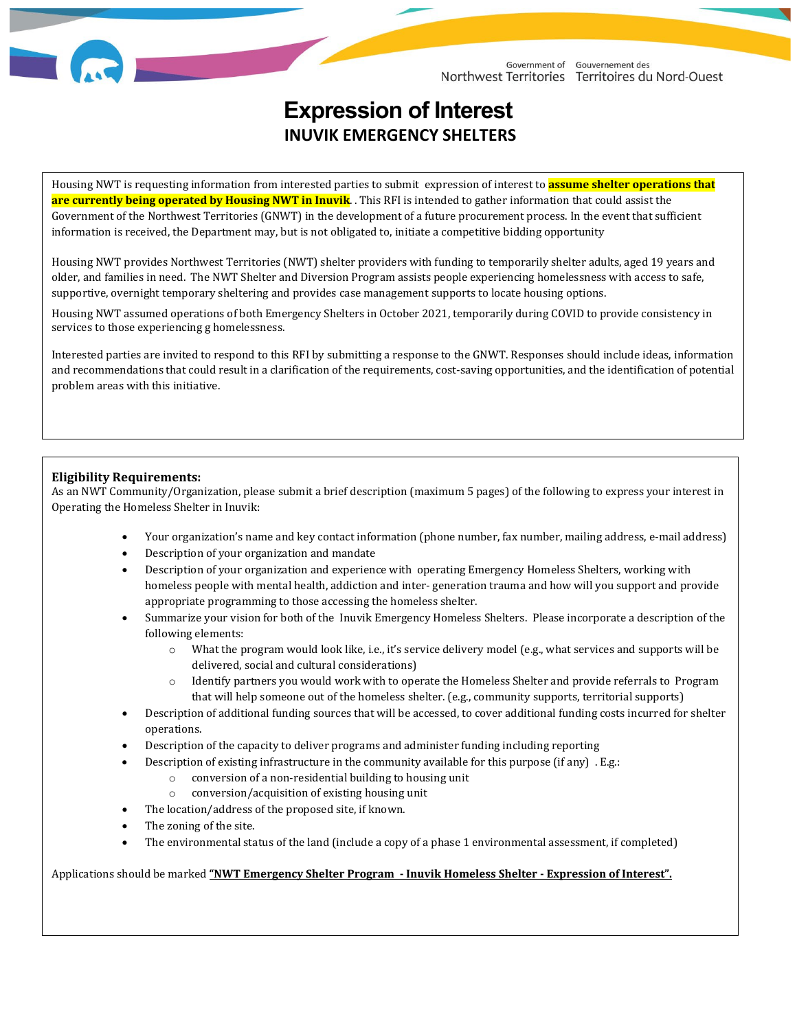

# **Expression of Interest INUVIK EMERGENCY SHELTERS**

Housing NWT is requesting information from interested parties to submit expression of interest to **assume shelter operations that are currently being operated by Housing NWT in Inuvik**. . This RFI is intended to gather information that could assist the Government of the Northwest Territories (GNWT) in the development of a future procurement process. In the event that sufficient information is received, the Department may, but is not obligated to, initiate a competitive bidding opportunity

Housing NWT provides Northwest Territories (NWT) shelter providers with funding to temporarily shelter adults, aged 19 years and older, and families in need.The NWT Shelter and Diversion Program assists people experiencing homelessness with access to safe, supportive, overnight temporary sheltering and provides case management supports to locate housing options.

Housing NWT assumed operations of both Emergency Shelters in October 2021, temporarily during COVID to provide consistency in services to those experiencing g homelessness.

Interested parties are invited to respond to this RFI by submitting a response to the GNWT. Responses should include ideas, information and recommendations that could result in a clarification of the requirements, cost-saving opportunities, and the identification of potential problem areas with this initiative.

### **Eligibility Requirements:**

As an NWT Community/Organization, please submit a brief description (maximum 5 pages) of the following to express your interest in Operating the Homeless Shelter in Inuvik:

- Your organization's name and key contact information (phone number, fax number, mailing address, e-mail address)
- Description of your organization and mandate
- Description of your organization and experience with operating Emergency Homeless Shelters, working with homeless people with mental health, addiction and inter- generation trauma and how will you support and provide appropriate programming to those accessing the homeless shelter.
- Summarize your vision for both of the Inuvik Emergency Homeless Shelters. Please incorporate a description of the following elements:
	- o What the program would look like, i.e., it's service delivery model (e.g., what services and supports will be delivered, social and cultural considerations)
	- o Identify partners you would work with to operate the Homeless Shelter and provide referrals to Program that will help someone out of the homeless shelter. (e.g., community supports, territorial supports) t
- Description of additional funding sources that will be accessed, to cover additional funding costs incurred for shelter operations.
- Description of the capacity to deliver programs and administer funding including reporting
- Description of existing infrastructure in the community available for this purpose (if any) . E.g.:
	- o conversion of a non-residential building to housing unit
	- conversion/acquisition of existing housing unit
- The location/address of the proposed site, if known.
- The zoning of the site.

ֺ֝֡

• The environmental status of the land (include a copy of a phase 1 environmental assessment, if completed)

#### Applications should be marked **"NWT Emergency Shelter Program - Inuvik Homeless Shelter - Expression of Interest".**